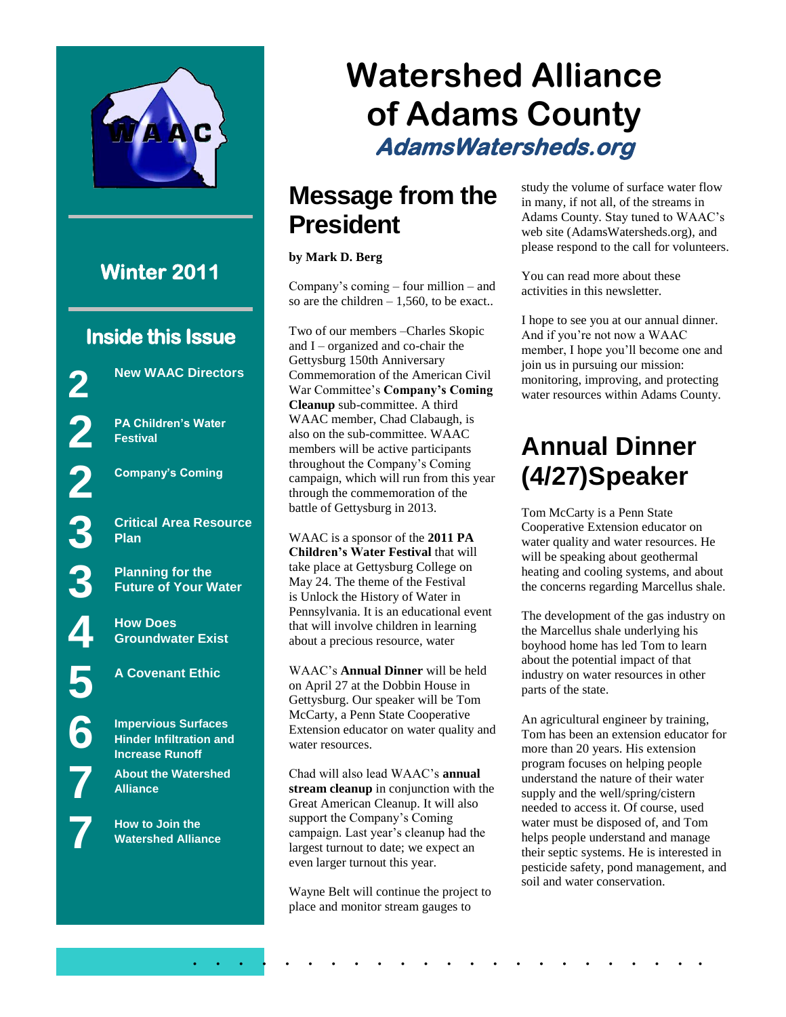

# **Watershed Alliance of Adams County AdamsWatersheds.org**

#### **Message from the President**

#### **by Mark D. Berg**

Company's coming – four million – and so are the children  $-1,560$ , to be exact..

Two of our members –Charles Skopic and I – organized and co-chair the Gettysburg 150th Anniversary Commemoration of the American Civil War Committee's **Company's Coming Cleanup** sub-committee. A third WAAC member, Chad Clabaugh, is also on the sub-committee. WAAC members will be active participants throughout the Company's Coming campaign, which will run from this year through the commemoration of the battle of Gettysburg in 2013.

WAAC is a sponsor of the **2011 PA Children's Water Festival** that will take place at Gettysburg College on May 24. The theme of the Festival is Unlock the History of Water in Pennsylvania. It is an educational event that will involve children in learning about a precious resource, water

WAAC's **Annual Dinner** will be held on April 27 at the Dobbin House in Gettysburg. Our speaker will be Tom McCarty, a Penn State Cooperative Extension educator on water quality and water resources.

Chad will also lead WAAC's **annual stream cleanup** in conjunction with the Great American Cleanup. It will also support the Company's Coming campaign. Last year's cleanup had the largest turnout to date; we expect an even larger turnout this year.

Wayne Belt will continue the project to place and monitor stream gauges to

. . . . . . . . . . . . . . . . . . . . . . .

study the volume of surface water flow in many, if not all, of the streams in Adams County. Stay tuned to WAAC's web site (AdamsWatersheds.org), and please respond to the call for volunteers.

You can read more about these activities in this newsletter.

I hope to see you at our annual dinner. And if you're not now a WAAC member, I hope you'll become one and join us in pursuing our mission: monitoring, improving, and protecting water resources within Adams County.

#### **Annual Dinner (4/27)Speaker**

Tom McCarty is a Penn State Cooperative Extension educator on water quality and water resources. He will be speaking about geothermal heating and cooling systems, and about the concerns regarding Marcellus shale.

The development of the gas industry on the Marcellus shale underlying his boyhood home has led Tom to learn about the potential impact of that industry on water resources in other parts of the state.

An agricultural engineer by training, Tom has been an extension educator for more than 20 years. His extension program focuses on helping people understand the nature of their water supply and the well/spring/cistern needed to access it. Of course, used water must be disposed of, and Tom helps people understand and manage their septic systems. He is interested in pesticide safety, pond management, and soil and water conservation.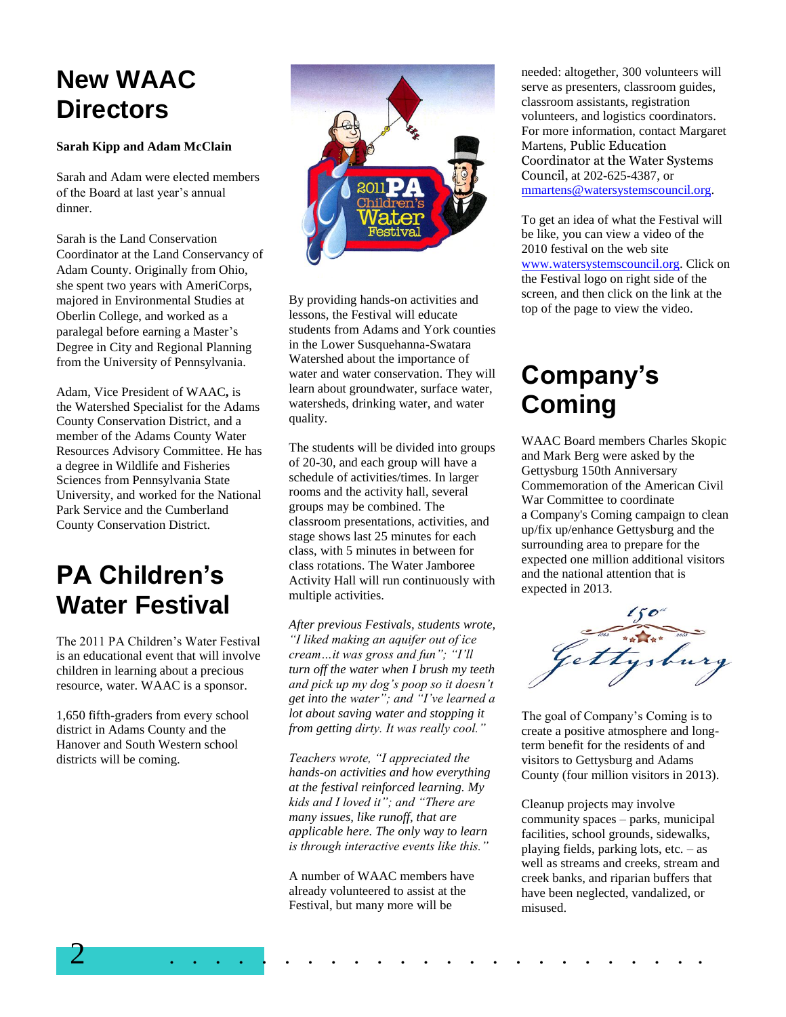### **New WAAC Directors**

#### **Sarah Kipp and Adam McClain**

Sarah and Adam were elected members of the Board at last year's annual dinner.

Sarah is the Land Conservation Coordinator at the Land Conservancy of Adam County. Originally from Ohio, she spent two years with AmeriCorps, majored in Environmental Studies at Oberlin College, and worked as a paralegal before earning a Master's Degree in City and Regional Planning from the University of Pennsylvania.

Adam, Vice President of WAAC**,** is the Watershed Specialist for the Adams County Conservation District, and a member of the Adams County Water Resources Advisory Committee. He has a degree in Wildlife and Fisheries Sciences from Pennsylvania State University, and worked for the National Park Service and the Cumberland County Conservation District.

#### **PA Children's Water Festival**

The 2011 PA Children's Water Festival is an educational event that will involve children in learning about a precious resource, water. WAAC is a sponsor.

1,650 fifth-graders from every school district in Adams County and the Hanover and South Western school districts will be coming.



By providing hands-on activities and lessons, the Festival will educate students from Adams and York counties in the Lower Susquehanna-Swatara Watershed about the importance of water and water conservation. They will learn about groundwater, surface water, watersheds, drinking water, and water quality.

The students will be divided into groups of 20-30, and each group will have a schedule of activities/times. In larger rooms and the activity hall, several groups may be combined. The classroom presentations, activities, and stage shows last 25 minutes for each class, with 5 minutes in between for class rotations. The Water Jamboree Activity Hall will run continuously with multiple activities.

*After previous Festivals, students wrote, "I liked making an aquifer out of ice cream…it was gross and fun"; "I'll turn off the water when I brush my teeth and pick up my dog's poop so it doesn't get into the water"; and "I've learned a lot about saving water and stopping it from getting dirty. It was really cool."*

*Teachers wrote, "I appreciated the hands-on activities and how everything at the festival reinforced learning. My kids and I loved it"; and "There are many issues, like runoff, that are applicable here. The only way to learn is through interactive events like this."*

A number of WAAC members have already volunteered to assist at the Festival, but many more will be

needed: altogether, 300 volunteers will serve as presenters, classroom guides, classroom assistants, registration volunteers, and logistics coordinators. For more information, contact Margaret Martens, Public Education Coordinator at the Water Systems Council, at 202-625-4387, or [mmartens@watersystemscouncil.org.](mailto:mmartens@watersystemscouncil.org)

To get an idea of what the Festival will be like, you can view a video of the 2010 festival on the web site [www.watersystemscouncil.org.](http://www.watersystemscouncil.org/) Click on the Festival logo on right side of the screen, and then click on the link at the top of the page to view the video.

#### **Company's Coming**

WAAC Board members Charles Skopic and Mark Berg were asked by the Gettysburg 150th Anniversary Commemoration of the American Civil War Committee to coordinate a Company's Coming campaign to clean up/fix up/enhance Gettysburg and the surrounding area to prepare for the expected one million additional visitors and the national attention that is expected in 2013.



The goal of Company's Coming is to create a positive atmosphere and longterm benefit for the residents of and visitors to Gettysburg and Adams County (four million visitors in 2013).

Cleanup projects may involve community spaces – parks, municipal facilities, school grounds, sidewalks, playing fields, parking lots, etc. – as well as streams and creeks, stream and creek banks, and riparian buffers that have been neglected, vandalized, or misused.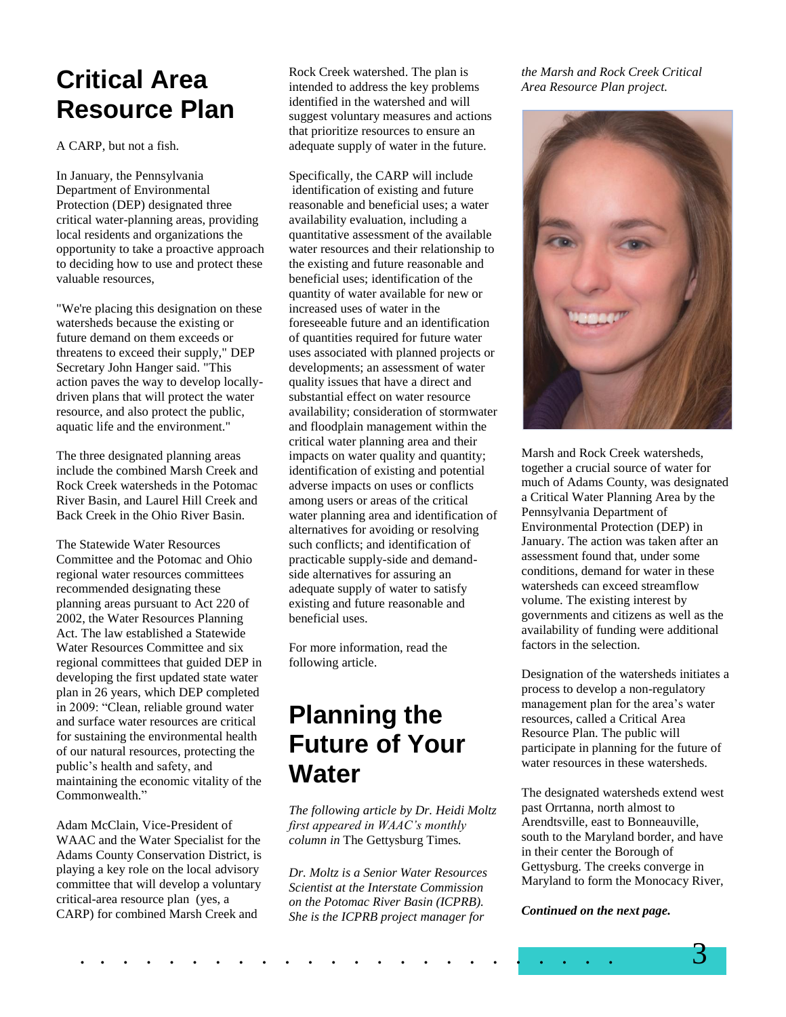#### **Critical Area Resource Plan**

A CARP, but not a fish.

In January, the Pennsylvania Department of Environmental Protection (DEP) designated three critical water-planning areas, providing local residents and organizations the opportunity to take a proactive approach to deciding how to use and protect these valuable resources,

"We're placing this designation on these watersheds because the existing or future demand on them exceeds or threatens to exceed their supply," DEP Secretary John Hanger said. "This action paves the way to develop locallydriven plans that will protect the water resource, and also protect the public, aquatic life and the environment."

The three designated planning areas include the combined Marsh Creek and Rock Creek watersheds in the Potomac River Basin, and Laurel Hill Creek and Back Creek in the Ohio River Basin.

The Statewide Water Resources Committee and the Potomac and Ohio regional water resources committees recommended designating these planning areas pursuant to Act 220 of 2002, the Water Resources Planning Act. The law established a Statewide Water Resources Committee and six regional committees that guided DEP in developing the first updated state water plan in 26 years, which DEP completed in 2009: "Clean, reliable ground water and surface water resources are critical for sustaining the environmental health of our natural resources, protecting the public's health and safety, and maintaining the economic vitality of the Commonwealth."

Adam McClain, Vice-President of WAAC and the Water Specialist for the Adams County Conservation District, is playing a key role on the local advisory committee that will develop a voluntary critical-area resource plan (yes, a CARP) for combined Marsh Creek and

Rock Creek watershed. The plan is intended to address the key problems identified in the watershed and will suggest voluntary measures and actions that prioritize resources to ensure an adequate supply of water in the future.

Specifically, the CARP will include identification of existing and future reasonable and beneficial uses; a water availability evaluation, including a quantitative assessment of the available water resources and their relationship to the existing and future reasonable and beneficial uses; identification of the quantity of water available for new or increased uses of water in the foreseeable future and an identification of quantities required for future water uses associated with planned projects or developments; an assessment of water quality issues that have a direct and substantial effect on water resource availability; consideration of stormwater and floodplain management within the critical water planning area and their impacts on water quality and quantity; identification of existing and potential adverse impacts on uses or conflicts among users or areas of the critical water planning area and identification of alternatives for avoiding or resolving such conflicts; and identification of practicable supply-side and demandside alternatives for assuring an adequate supply of water to satisfy existing and future reasonable and beneficial uses.

For more information, read the following article.

### **Planning the Future of Your Water**

*The following article by Dr. Heidi Moltz first appeared in WAAC's monthly column in* The Gettysburg Times*.*

*Dr. Moltz is a Senior Water Resources Scientist at the Interstate Commission on the Potomac River Basin (ICPRB). She is the ICPRB project manager for* 

*the Marsh and Rock Creek Critical Area Resource Plan project.*



Marsh and Rock Creek watersheds, together a crucial source of water for much of Adams County, was designated a Critical Water Planning Area by the Pennsylvania Department of Environmental Protection (DEP) in January. The action was taken after an assessment found that, under some conditions, demand for water in these watersheds can exceed streamflow volume. The existing interest by governments and citizens as well as the availability of funding were additional factors in the selection.

Designation of the watersheds initiates a process to develop a non-regulatory management plan for the area's water resources, called a Critical Area Resource Plan. The public will participate in planning for the future of water resources in these watersheds.

The designated watersheds extend west past Orrtanna, north almost to Arendtsville, east to Bonneauville, south to the Maryland border, and have in their center the Borough of Gettysburg. The creeks converge in Maryland to form the Monocacy River,

*Continued on the next page.*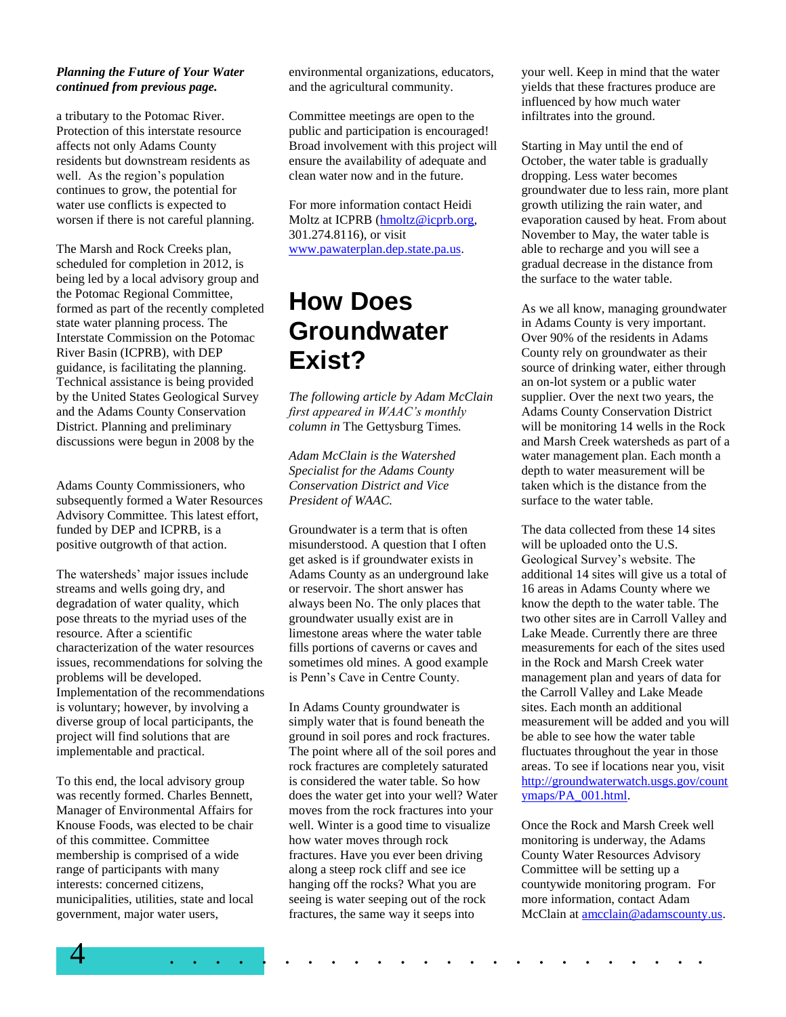#### *Planning the Future of Your Water continued from previous page.*

a tributary to the Potomac River. Protection of this interstate resource affects not only Adams County residents but downstream residents as well. As the region's population continues to grow, the potential for water use conflicts is expected to worsen if there is not careful planning.

The Marsh and Rock Creeks plan, scheduled for completion in 2012, is being led by a local advisory group and the Potomac Regional Committee, formed as part of the recently completed state water planning process. The Interstate Commission on the Potomac River Basin (ICPRB), with DEP guidance, is facilitating the planning. Technical assistance is being provided by the United States Geological Survey and the Adams County Conservation District. Planning and preliminary discussions were begun in 2008 by the

Adams County Commissioners, who subsequently formed a Water Resources Advisory Committee. This latest effort, funded by DEP and ICPRB, is a positive outgrowth of that action.

The watersheds' major issues include streams and wells going dry, and degradation of water quality, which pose threats to the myriad uses of the resource. After a scientific characterization of the water resources issues, recommendations for solving the problems will be developed. Implementation of the recommendations is voluntary; however, by involving a diverse group of local participants, the project will find solutions that are implementable and practical.

To this end, the local advisory group was recently formed. Charles Bennett, Manager of Environmental Affairs for Knouse Foods, was elected to be chair of this committee. Committee membership is comprised of a wide range of participants with many interests: concerned citizens, municipalities, utilities, state and local government, major water users,

environmental organizations, educators, and the agricultural community.

Committee meetings are open to the public and participation is encouraged! Broad involvement with this project will ensure the availability of adequate and clean water now and in the future.

For more information contact Heidi Moltz at ICPRB (hmoltz@icprb.org, 301.274.8116), or visit [www.pawaterplan.dep.state.pa.us.](http://www.pawaterplan.dep.state.pa.us/)

#### **How Does Groundwater Exist?**

*The following article by Adam McClain first appeared in WAAC's monthly column in* The Gettysburg Times*.*

*Adam McClain is the Watershed Specialist for the Adams County Conservation District and Vice President of WAAC.*

Groundwater is a term that is often misunderstood. A question that I often get asked is if groundwater exists in Adams County as an underground lake or reservoir. The short answer has always been No. The only places that groundwater usually exist are in limestone areas where the water table fills portions of caverns or caves and sometimes old mines. A good example is Penn's Cave in Centre County.

In Adams County groundwater is simply water that is found beneath the ground in soil pores and rock fractures. The point where all of the soil pores and rock fractures are completely saturated is considered the water table. So how does the water get into your well? Water moves from the rock fractures into your well. Winter is a good time to visualize how water moves through rock fractures. Have you ever been driving along a steep rock cliff and see ice hanging off the rocks? What you are seeing is water seeping out of the rock fractures, the same way it seeps into

your well. Keep in mind that the water yields that these fractures produce are influenced by how much water infiltrates into the ground.

Starting in May until the end of October, the water table is gradually dropping. Less water becomes groundwater due to less rain, more plant growth utilizing the rain water, and evaporation caused by heat. From about November to May, the water table is able to recharge and you will see a gradual decrease in the distance from the surface to the water table.

As we all know, managing groundwater in Adams County is very important. Over 90% of the residents in Adams County rely on groundwater as their source of drinking water, either through an on-lot system or a public water supplier. Over the next two years, the Adams County Conservation District will be monitoring 14 wells in the Rock and Marsh Creek watersheds as part of a water management plan. Each month a depth to water measurement will be taken which is the distance from the surface to the water table.

The data collected from these 14 sites will be uploaded onto the U.S. Geological Survey's website. The additional 14 sites will give us a total of 16 areas in Adams County where we know the depth to the water table. The two other sites are in Carroll Valley and Lake Meade. Currently there are three measurements for each of the sites used in the Rock and Marsh Creek water management plan and years of data for the Carroll Valley and Lake Meade sites. Each month an additional measurement will be added and you will be able to see how the water table fluctuates throughout the year in those areas. To see if locations near you, visit [http://groundwaterwatch.usgs.gov/count](http://groundwaterwatch.usgs.gov/countymaps/PA_001.html) [ymaps/PA\\_001.html.](http://groundwaterwatch.usgs.gov/countymaps/PA_001.html)

Once the Rock and Marsh Creek well monitoring is underway, the Adams County Water Resources Advisory Committee will be setting up a countywide monitoring program. For more information, contact Adam McClain at [amcclain@adamscounty.us.](mailto:amcclain@adamscounty.us)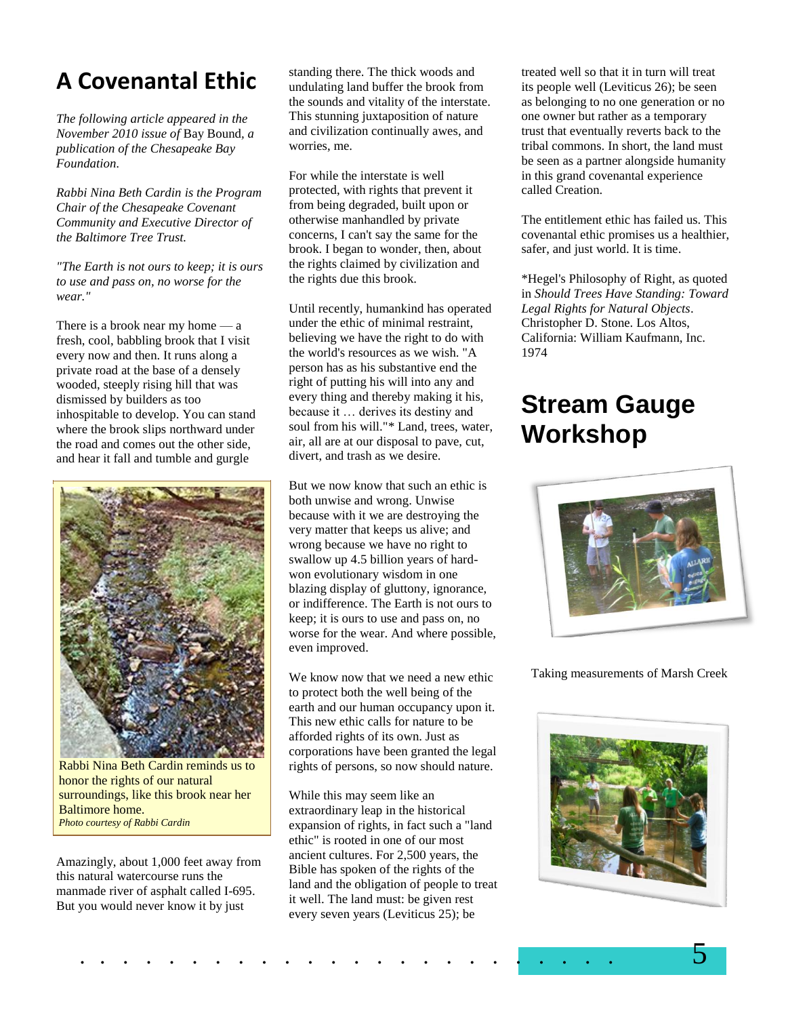#### **A Covenantal Ethic**

*The following article appeared in the November 2010 issue of* Bay Bound*, a publication of the Chesapeake Bay Foundation.*

*Rabbi Nina Beth Cardin is the Program Chair of the Chesapeake Covenant Community and Executive Director of the Baltimore Tree Trust.*

*"The Earth is not ours to keep; it is ours to use and pass on, no worse for the wear."*

There is a brook near my home  $-\alpha$ fresh, cool, babbling brook that I visit every now and then. It runs along a private road at the base of a densely wooded, steeply rising hill that was dismissed by builders as too inhospitable to develop. You can stand where the brook slips northward under the road and comes out the other side, and hear it fall and tumble and gurgle



Rabbi Nina Beth Cardin reminds us to honor the rights of our natural surroundings, like this brook near her Baltimore home. *Photo courtesy of Rabbi Cardin*

Amazingly, about 1,000 feet away from this natural watercourse runs the manmade river of asphalt called I-695. But you would never know it by just

standing there. The thick woods and undulating land buffer the brook from the sounds and vitality of the interstate. This stunning juxtaposition of nature and civilization continually awes, and worries, me.

For while the interstate is well protected, with rights that prevent it from being degraded, built upon or otherwise manhandled by private concerns, I can't say the same for the brook. I began to wonder, then, about the rights claimed by civilization and the rights due this brook.

Until recently, humankind has operated under the ethic of minimal restraint, believing we have the right to do with the world's resources as we wish. "A person has as his substantive end the right of putting his will into any and every thing and thereby making it his, because it … derives its destiny and soul from his will."\* Land, trees, water, air, all are at our disposal to pave, cut, divert, and trash as we desire.

But we now know that such an ethic is both unwise and wrong. Unwise because with it we are destroying the very matter that keeps us alive; and wrong because we have no right to swallow up 4.5 billion years of hardwon evolutionary wisdom in one blazing display of gluttony, ignorance, or indifference. The Earth is not ours to keep; it is ours to use and pass on, no worse for the wear. And where possible, even improved.

We know now that we need a new ethic to protect both the well being of the earth and our human occupancy upon it. This new ethic calls for nature to be afforded rights of its own. Just as corporations have been granted the legal rights of persons, so now should nature.

While this may seem like an extraordinary leap in the historical expansion of rights, in fact such a "land ethic" is rooted in one of our most ancient cultures. For 2,500 years, the Bible has spoken of the rights of the land and the obligation of people to treat it well. The land must: be given rest every seven years (Leviticus 25); be

treated well so that it in turn will treat its people well (Leviticus 26); be seen as belonging to no one generation or no one owner but rather as a temporary trust that eventually reverts back to the tribal commons. In short, the land must be seen as a partner alongside humanity in this grand covenantal experience called Creation.

The entitlement ethic has failed us. This covenantal ethic promises us a healthier, safer, and just world. It is time.

\*Hegel's Philosophy of Right, as quoted in *Should Trees Have Standing: Toward Legal Rights for Natural Objects*. Christopher D. Stone. Los Altos, California: William Kaufmann, Inc. 1974

#### **Stream Gauge Workshop**



Taking measurements of Marsh Creek

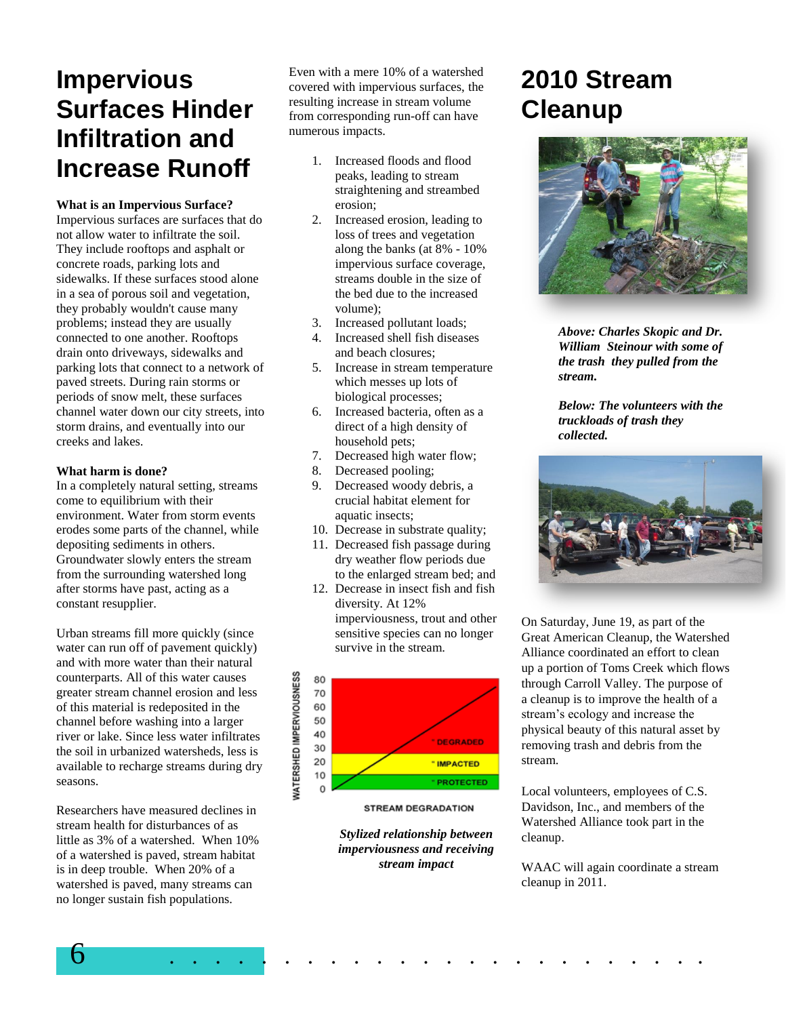### **Impervious Surfaces Hinder Infiltration and Increase Runoff**

**What is an Impervious Surface?**

Impervious surfaces are surfaces that do not allow water to infiltrate the soil. They include rooftops and asphalt or concrete roads, parking lots and sidewalks. If these surfaces stood alone in a sea of porous soil and vegetation, they probably wouldn't cause many problems; instead they are usually connected to one another. Rooftops drain onto driveways, sidewalks and parking lots that connect to a network of paved streets. During rain storms or periods of snow melt, these surfaces channel water down our city streets, into storm drains, and eventually into our creeks and lakes.

#### **What harm is done?**

In a completely natural setting, streams come to equilibrium with their environment. Water from storm events erodes some parts of the channel, while depositing sediments in others. Groundwater slowly enters the stream from the surrounding watershed long after storms have past, acting as a constant resupplier.

Urban streams fill more quickly (since water can run off of pavement quickly) and with more water than their natural counterparts. All of this water causes greater stream channel erosion and less of this material is redeposited in the channel before washing into a larger river or lake. Since less water infiltrates the soil in urbanized watersheds, less is available to recharge streams during dry seasons.

Researchers have measured declines in stream health for disturbances of as little as 3% of a watershed. When 10% of a watershed is paved, stream habitat is in deep trouble. When 20% of a watershed is paved, many streams can no longer sustain fish populations.

Even with a mere 10% of a watershed covered with impervious surfaces, the resulting increase in stream volume from corresponding run-off can have numerous impacts.

- 1. Increased floods and flood peaks, leading to stream straightening and streambed erosion;
- 2. Increased erosion, leading to loss of trees and vegetation along the banks (at 8% - 10% impervious surface coverage, streams double in the size of the bed due to the increased volume);
- 3. Increased pollutant loads;
- 4. Increased shell fish diseases and beach closures;
- 5. Increase in stream temperature which messes up lots of biological processes;
- 6. Increased bacteria, often as a direct of a high density of household pets;
- 7. Decreased high water flow;
- 8. Decreased pooling;
- 9. Decreased woody debris, a crucial habitat element for aquatic insects;
- 10. Decrease in substrate quality;
- 11. Decreased fish passage during dry weather flow periods due to the enlarged stream bed; and
- 12. Decrease in insect fish and fish diversity. At 12% imperviousness, trout and other sensitive species can no longer survive in the stream.



**STREAM DEGRADATION** 

*Stylized relationship between imperviousness and receiving stream impact*

6 . . . . . . . . . . . . . . . . . . . . . . . .

### **2010 Stream Cleanup**



*Above: Charles Skopic and Dr. William Steinour with some of the trash they pulled from the stream.*

*Below: The volunteers with the truckloads of trash they collected.*



On Saturday, June 19, as part of the Great American Cleanup, the Watershed Alliance coordinated an effort to clean up a portion of Toms Creek which flows through Carroll Valley. The purpose of a cleanup is to improve the health of a stream's ecology and increase the physical beauty of this natural asset by removing trash and debris from the stream.

Local volunteers, employees of C.S. Davidson, Inc., and members of the Watershed Alliance took part in the cleanup.

WAAC will again coordinate a stream cleanup in 2011.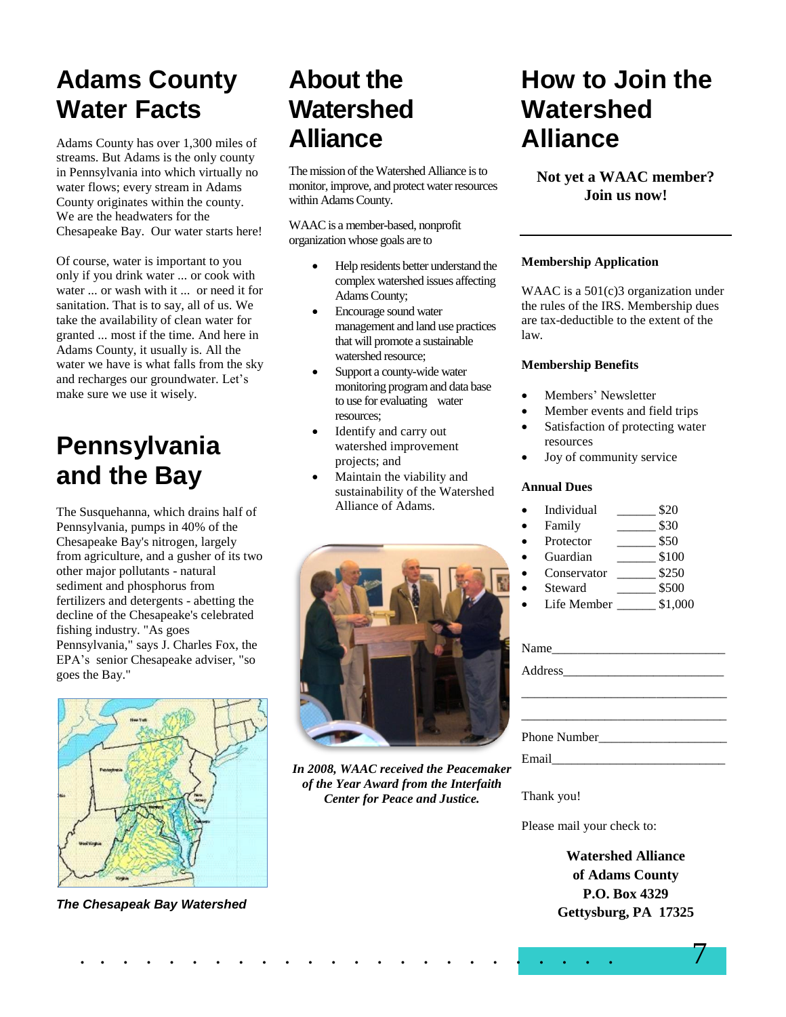# **Adams County Water Facts**

Adams County has over 1,300 miles of streams. But Adams is the only county in Pennsylvania into which virtually no water flows; every stream in Adams County originates within the county. We are the headwaters for the Chesapeake Bay. Our water starts here!

Of course, water is important to you only if you drink water ... or cook with water ... or wash with it ... or need it for sanitation. That is to say, all of us. We take the availability of clean water for granted ... most if the time. And here in Adams County, it usually is. All the water we have is what falls from the sky and recharges our groundwater. Let's make sure we use it wisely.

# **Pennsylvania and the Bay**

The Susquehanna, which drains half of Pennsylvania, pumps in 40% of the Chesapeake Bay's nitrogen, largely from agriculture, and a gusher of its two other major pollutants - natural sediment and phosphorus from fertilizers and detergents - abetting the decline of the Chesapeake's celebrated fishing industry. "As goes Pennsylvania," says J. Charles Fox, the EPA's senior Chesapeake adviser, "so goes the Bay."



*The Chesapeak Bay Watershed*

# **About the Watershed Alliance**

The mission of the Watershed Alliance isto monitor, improve, and protect water resources within Adams County.

WAAC is a member-based, nonprofit organization whose goals are to

- Help residents better understand the complex watershed issues affecting Adams County;
- Encourage sound water management and land use practices that will promote a sustainable watershed resource;
- Support a county-wide water monitoring program and data base to use for evaluating water resources;
- Identify and carry out watershed improvement projects; and
- Maintain the viability and sustainability of the Watershed Alliance of Adams.



*In 2008, WAAC received the Peacemaker of the Year Award from the Interfaith Center for Peace and Justice.*

### **How to Join the Watershed Alliance**

**Not yet a WAAC member? Join us now!**

#### **Membership Application**

WAAC is a 501(c)3 organization under the rules of the IRS. Membership dues are tax-deductible to the extent of the law.

#### **Membership Benefits**

- Members' Newsletter
- Member events and field trips
- Satisfaction of protecting water resources
- Joy of community service

#### **Annual Dues**

- Individual \_\_\_\_\_\_ \$20
- Family  $$30$
- Protector \_\_\_\_\_\_\_ \$50
- Guardian  $$100$
- Conservator \$250
- Steward  $$500$
- Life Member \_\_\_\_\_\_ \$1,000

| Name          |              |
|---------------|--------------|
|               |              |
|               |              |
|               |              |
|               | Phone Number |
| Email _______ |              |

Thank you!

Please mail your check to:

**Watershed Alliance of Adams County P.O. Box 4329 Gettysburg, PA 17325**